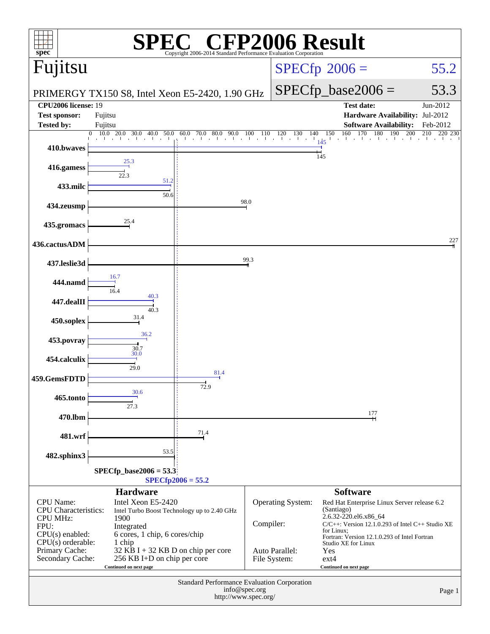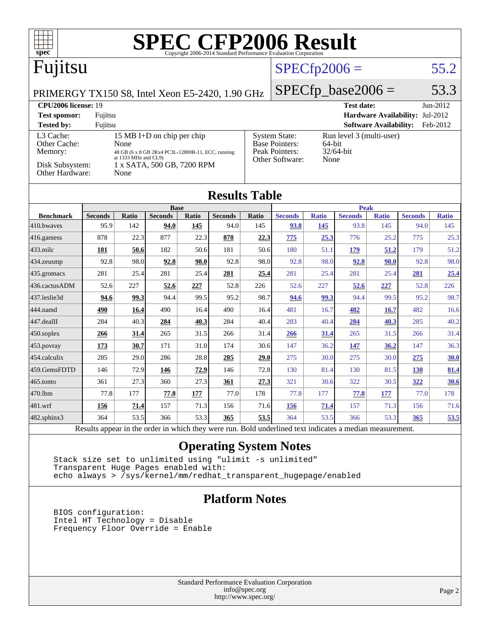| <b>SPEC CFP2006 Result</b><br>$spec^*$<br>Copyright 2006-2014 Standard Performance Evaluation Corporation                   |                        |              |                        |              |                        |                                                                                     |                        |                     |                        |                               |                                 |                     |
|-----------------------------------------------------------------------------------------------------------------------------|------------------------|--------------|------------------------|--------------|------------------------|-------------------------------------------------------------------------------------|------------------------|---------------------|------------------------|-------------------------------|---------------------------------|---------------------|
| Fujitsu                                                                                                                     |                        |              |                        |              |                        | $SPECfp2006 =$                                                                      |                        |                     |                        | 55.2                          |                                 |                     |
| PRIMERGY TX150 S8, Intel Xeon E5-2420, 1.90 GHz                                                                             |                        |              |                        |              |                        |                                                                                     | $SPECfp\_base2006 =$   |                     |                        |                               | 53.3                            |                     |
| <b>CPU2006</b> license: 19                                                                                                  |                        |              |                        |              |                        |                                                                                     |                        |                     | <b>Test date:</b>      |                               |                                 | Jun-2012            |
| <b>Test sponsor:</b>                                                                                                        | Fujitsu                |              |                        |              |                        |                                                                                     |                        |                     |                        |                               | Hardware Availability: Jul-2012 |                     |
| <b>Tested by:</b>                                                                                                           | Fujitsu                |              |                        |              |                        |                                                                                     |                        |                     |                        | <b>Software Availability:</b> |                                 | Feb-2012            |
| L3 Cache:<br>15 MB I+D on chip per chip                                                                                     |                        |              |                        |              |                        | <b>System State:</b><br>Run level 3 (multi-user)<br><b>Base Pointers:</b><br>64-bit |                        |                     |                        |                               |                                 |                     |
| Other Cache:<br>None<br>Peak Pointers:<br>Memory:<br>48 GB (6 x 8 GB 2Rx4 PC3L-12800R-11, ECC, running                      |                        |              |                        |              |                        |                                                                                     | 32/64-bit              |                     |                        |                               |                                 |                     |
| at 1333 MHz and CL9)<br>Other Software:<br>None<br>Disk Subsystem:<br>1 x SATA, 500 GB, 7200 RPM<br>Other Hardware:<br>None |                        |              |                        |              |                        |                                                                                     |                        |                     |                        |                               |                                 |                     |
| <b>Results Table</b>                                                                                                        |                        |              |                        |              |                        |                                                                                     |                        |                     |                        |                               |                                 |                     |
|                                                                                                                             |                        |              | <b>Base</b>            |              |                        |                                                                                     |                        |                     | <b>Peak</b>            |                               |                                 |                     |
| <b>Benchmark</b><br>410.bwaves                                                                                              | <b>Seconds</b><br>95.9 | Ratio<br>142 | <b>Seconds</b><br>94.0 | Ratio<br>145 | <b>Seconds</b><br>94.0 | Ratio<br>145                                                                        | <b>Seconds</b><br>93.8 | <b>Ratio</b><br>145 | <b>Seconds</b><br>93.8 | <b>Ratio</b><br>145           | <b>Seconds</b><br>94.0          | <b>Ratio</b><br>145 |
| 416.gamess                                                                                                                  | 878                    | 22.3         | 877                    | 22.3         | 878                    | 22.3                                                                                | 775                    | 25.3                | 776                    | 25.2                          | 775                             | 25.3                |
| 433.milc                                                                                                                    | 181                    | 50.6         | 182                    | 50.6         | 181                    | 50.6                                                                                | 180                    | 51.1                | 179                    | 51.2                          | 179                             | 51.2                |
| 434.zeusmp                                                                                                                  | 92.8                   | 98.0         | 92.8                   | 98.0         | 92.8                   | 98.0                                                                                | 92.8                   | 98.0                | 92.8                   | 98.0                          | 92.8                            | 98.0                |
| 435.gromacs                                                                                                                 | 281                    | 25.4         | 281                    | 25.4         | 281                    | 25.4                                                                                | 281                    | 25.4                | 281                    | 25.4                          | 281                             | 25.4                |
| 436.cactusADM                                                                                                               | 52.6                   | 227          | 52.6                   | 227          | 52.8                   | 226                                                                                 | 52.6                   | 227                 | 52.6                   | 227                           | 52.8                            | 226                 |
| 437.leslie3d                                                                                                                | 94.6                   | 99.3         | 94.4                   | 99.5         | 95.2                   | 98.7                                                                                | 94.6                   | 99.3                | 94.4                   | 99.5                          | 95.2                            | 98.7                |
| 444.namd                                                                                                                    | 490                    | 16.4         | 490                    | 16.4         | 490                    | 16.4                                                                                | 481                    | 16.7                | 482                    | 16.7                          | 482                             | 16.6                |
| 447.dealII                                                                                                                  | 284                    | 40.3         | 284                    | 40.3         | 284                    | 40.4                                                                                | 283                    | 40.4                | 284                    | 40.3                          | 285                             | 40.2                |
| 450.soplex                                                                                                                  | 266                    | 31.4         | 265                    | 31.5         | 266                    | 31.4                                                                                | 266                    | 31.4                | 265                    | 31.5                          | 266                             | 31.4                |
| 453.povray                                                                                                                  | 173                    | 30.7         | 171                    | 31.0         | 174                    | 30.6                                                                                | 147                    | 36.2                | 147                    | 36.2                          | 147                             | 36.3                |
| 454.calculix                                                                                                                | 285                    | 29.0         | 286                    | 28.8         | 285                    | 29.0                                                                                | 275                    | 30.0                | 275                    | 30.0                          | 275                             | 30.0                |
| 459.GemsFDTD                                                                                                                | 146                    | 72.9         | 146                    | 72.9         | 146                    | 72.8                                                                                | 130                    | 81.4                | 130                    | 81.5                          | <b>130</b>                      | 81.4                |
| 465.tonto                                                                                                                   | 361                    | 27.3         | 360                    | 27.3         | 361                    | 27.3                                                                                | 321                    | 30.6                | 322                    | 30.5                          | 322                             | 30.6                |
| 470.1bm                                                                                                                     | 77.8                   | 177          | 77.8                   | 177          | 77.0                   | 178                                                                                 | 77.8                   | 177                 | 77.8                   | 177                           | 77.0                            | 178                 |
| 481.wrf                                                                                                                     | 156                    | 71.4         | 157                    | 71.3         | 156                    | 71.6                                                                                | 156                    | 71.4                | 157                    | 71.3                          | 156                             | 71.6                |
| 482.sphinx3                                                                                                                 | 364                    | 53.5         | 366                    | 53.3         | 365                    | 53.5                                                                                | 364                    | 53.5                | 366                    | 53.3                          | 365                             | 53.5                |

Results appear in the [order in which they were run.](http://www.spec.org/auto/cpu2006/Docs/result-fields.html#RunOrder) Bold underlined text [indicates a median measurement.](http://www.spec.org/auto/cpu2006/Docs/result-fields.html#Median)

#### **[Operating System Notes](http://www.spec.org/auto/cpu2006/Docs/result-fields.html#OperatingSystemNotes)**

 Stack size set to unlimited using "ulimit -s unlimited" Transparent Huge Pages enabled with: echo always > /sys/kernel/mm/redhat\_transparent\_hugepage/enabled

#### **[Platform Notes](http://www.spec.org/auto/cpu2006/Docs/result-fields.html#PlatformNotes)**

 BIOS configuration: Intel HT Technology = Disable Frequency Floor Override = Enable

> Standard Performance Evaluation Corporation [info@spec.org](mailto:info@spec.org) <http://www.spec.org/>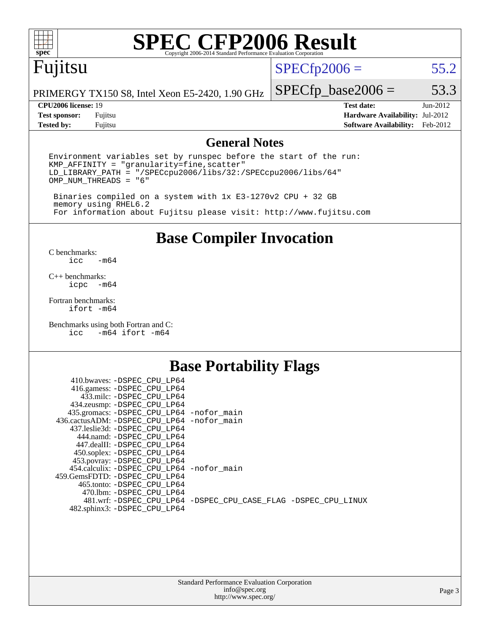

# **[SPEC CFP2006 Result](http://www.spec.org/auto/cpu2006/Docs/result-fields.html#SPECCFP2006Result)**

# Fujitsu

#### $SPECfp2006 = 55.2$  $SPECfp2006 = 55.2$

PRIMERGY TX150 S8, Intel Xeon E5-2420, 1.90 GHz

#### **[CPU2006 license:](http://www.spec.org/auto/cpu2006/Docs/result-fields.html#CPU2006license)** 19 **[Test date:](http://www.spec.org/auto/cpu2006/Docs/result-fields.html#Testdate)** Jun-2012

 $SPECTp\_base2006 = 53.3$ 

**[Test sponsor:](http://www.spec.org/auto/cpu2006/Docs/result-fields.html#Testsponsor)** Fujitsu **[Hardware Availability:](http://www.spec.org/auto/cpu2006/Docs/result-fields.html#HardwareAvailability)** Jul-2012 **[Tested by:](http://www.spec.org/auto/cpu2006/Docs/result-fields.html#Testedby)** Fujitsu **[Software Availability:](http://www.spec.org/auto/cpu2006/Docs/result-fields.html#SoftwareAvailability)** Feb-2012

#### **[General Notes](http://www.spec.org/auto/cpu2006/Docs/result-fields.html#GeneralNotes)**

Environment variables set by runspec before the start of the run: KMP\_AFFINITY = "granularity=fine,scatter" LD\_LIBRARY\_PATH = "/SPECcpu2006/libs/32:/SPECcpu2006/libs/64" OMP\_NUM\_THREADS = "6"

 Binaries compiled on a system with 1x E3-1270v2 CPU + 32 GB memory using RHEL6.2 For information about Fujitsu please visit: <http://www.fujitsu.com>

**[Base Compiler Invocation](http://www.spec.org/auto/cpu2006/Docs/result-fields.html#BaseCompilerInvocation)**

 $C$  benchmarks:<br>icc  $-m64$ 

[C++ benchmarks:](http://www.spec.org/auto/cpu2006/Docs/result-fields.html#CXXbenchmarks) [icpc -m64](http://www.spec.org/cpu2006/results/res2012q3/cpu2006-20120810-24100.flags.html#user_CXXbase_intel_icpc_64bit_bedb90c1146cab66620883ef4f41a67e)

[Fortran benchmarks](http://www.spec.org/auto/cpu2006/Docs/result-fields.html#Fortranbenchmarks): [ifort -m64](http://www.spec.org/cpu2006/results/res2012q3/cpu2006-20120810-24100.flags.html#user_FCbase_intel_ifort_64bit_ee9d0fb25645d0210d97eb0527dcc06e)

[Benchmarks using both Fortran and C](http://www.spec.org/auto/cpu2006/Docs/result-fields.html#BenchmarksusingbothFortranandC): [icc -m64](http://www.spec.org/cpu2006/results/res2012q3/cpu2006-20120810-24100.flags.html#user_CC_FCbase_intel_icc_64bit_0b7121f5ab7cfabee23d88897260401c) [ifort -m64](http://www.spec.org/cpu2006/results/res2012q3/cpu2006-20120810-24100.flags.html#user_CC_FCbase_intel_ifort_64bit_ee9d0fb25645d0210d97eb0527dcc06e)

#### **[Base Portability Flags](http://www.spec.org/auto/cpu2006/Docs/result-fields.html#BasePortabilityFlags)**

| 410.bwaves: -DSPEC CPU LP64                              |                                                                |
|----------------------------------------------------------|----------------------------------------------------------------|
| 416.gamess: -DSPEC_CPU_LP64<br>433.milc: -DSPEC CPU LP64 |                                                                |
| 434.zeusmp: - DSPEC_CPU_LP64                             |                                                                |
| 435.gromacs: -DSPEC_CPU_LP64 -nofor_main                 |                                                                |
| 436.cactusADM: -DSPEC CPU LP64 -nofor main               |                                                                |
| 437.leslie3d: -DSPEC CPU LP64                            |                                                                |
| 444.namd: -DSPEC CPU LP64                                |                                                                |
| 447.dealII: -DSPEC_CPU LP64                              |                                                                |
| 450.soplex: -DSPEC_CPU_LP64                              |                                                                |
| 453.povray: -DSPEC_CPU_LP64                              |                                                                |
| 454.calculix: -DSPEC CPU LP64 -nofor main                |                                                                |
| 459. GemsFDTD: - DSPEC CPU LP64                          |                                                                |
| 465.tonto: - DSPEC CPU LP64                              |                                                                |
| 470.1bm: - DSPEC_CPU LP64                                | 481.wrf: -DSPEC CPU_LP64 -DSPEC_CPU_CASE_FLAG -DSPEC_CPU_LINUX |
| 482.sphinx3: -DSPEC_CPU_LP64                             |                                                                |
|                                                          |                                                                |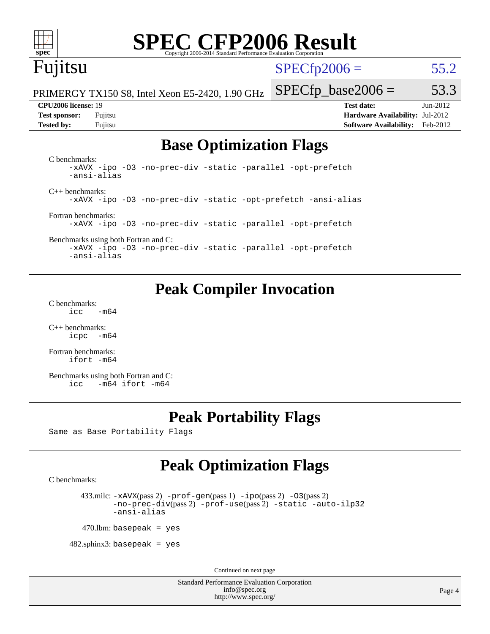

# **[SPEC CFP2006 Result](http://www.spec.org/auto/cpu2006/Docs/result-fields.html#SPECCFP2006Result)**

## Fujitsu

 $SPECfp2006 = 55.2$  $SPECfp2006 = 55.2$ 

PRIMERGY TX150 S8, Intel Xeon E5-2420, 1.90 GHz

**[Test sponsor:](http://www.spec.org/auto/cpu2006/Docs/result-fields.html#Testsponsor)** Fujitsu **[Hardware Availability:](http://www.spec.org/auto/cpu2006/Docs/result-fields.html#HardwareAvailability)** Jul-2012 **[Tested by:](http://www.spec.org/auto/cpu2006/Docs/result-fields.html#Testedby)** Fujitsu **[Software Availability:](http://www.spec.org/auto/cpu2006/Docs/result-fields.html#SoftwareAvailability)** Feb-2012

 $SPECTp\_base2006 = 53.3$ **[CPU2006 license:](http://www.spec.org/auto/cpu2006/Docs/result-fields.html#CPU2006license)** 19 **[Test date:](http://www.spec.org/auto/cpu2006/Docs/result-fields.html#Testdate)** Jun-2012

## **[Base Optimization Flags](http://www.spec.org/auto/cpu2006/Docs/result-fields.html#BaseOptimizationFlags)**

[C benchmarks](http://www.spec.org/auto/cpu2006/Docs/result-fields.html#Cbenchmarks): [-xAVX](http://www.spec.org/cpu2006/results/res2012q3/cpu2006-20120810-24100.flags.html#user_CCbase_f-xAVX) [-ipo](http://www.spec.org/cpu2006/results/res2012q3/cpu2006-20120810-24100.flags.html#user_CCbase_f-ipo) [-O3](http://www.spec.org/cpu2006/results/res2012q3/cpu2006-20120810-24100.flags.html#user_CCbase_f-O3) [-no-prec-div](http://www.spec.org/cpu2006/results/res2012q3/cpu2006-20120810-24100.flags.html#user_CCbase_f-no-prec-div) [-static](http://www.spec.org/cpu2006/results/res2012q3/cpu2006-20120810-24100.flags.html#user_CCbase_f-static) [-parallel](http://www.spec.org/cpu2006/results/res2012q3/cpu2006-20120810-24100.flags.html#user_CCbase_f-parallel) [-opt-prefetch](http://www.spec.org/cpu2006/results/res2012q3/cpu2006-20120810-24100.flags.html#user_CCbase_f-opt-prefetch) [-ansi-alias](http://www.spec.org/cpu2006/results/res2012q3/cpu2006-20120810-24100.flags.html#user_CCbase_f-ansi-alias) [C++ benchmarks:](http://www.spec.org/auto/cpu2006/Docs/result-fields.html#CXXbenchmarks) [-xAVX](http://www.spec.org/cpu2006/results/res2012q3/cpu2006-20120810-24100.flags.html#user_CXXbase_f-xAVX) [-ipo](http://www.spec.org/cpu2006/results/res2012q3/cpu2006-20120810-24100.flags.html#user_CXXbase_f-ipo) [-O3](http://www.spec.org/cpu2006/results/res2012q3/cpu2006-20120810-24100.flags.html#user_CXXbase_f-O3) [-no-prec-div](http://www.spec.org/cpu2006/results/res2012q3/cpu2006-20120810-24100.flags.html#user_CXXbase_f-no-prec-div) [-static](http://www.spec.org/cpu2006/results/res2012q3/cpu2006-20120810-24100.flags.html#user_CXXbase_f-static) [-opt-prefetch](http://www.spec.org/cpu2006/results/res2012q3/cpu2006-20120810-24100.flags.html#user_CXXbase_f-opt-prefetch) [-ansi-alias](http://www.spec.org/cpu2006/results/res2012q3/cpu2006-20120810-24100.flags.html#user_CXXbase_f-ansi-alias) [Fortran benchmarks](http://www.spec.org/auto/cpu2006/Docs/result-fields.html#Fortranbenchmarks): [-xAVX](http://www.spec.org/cpu2006/results/res2012q3/cpu2006-20120810-24100.flags.html#user_FCbase_f-xAVX) [-ipo](http://www.spec.org/cpu2006/results/res2012q3/cpu2006-20120810-24100.flags.html#user_FCbase_f-ipo) [-O3](http://www.spec.org/cpu2006/results/res2012q3/cpu2006-20120810-24100.flags.html#user_FCbase_f-O3) [-no-prec-div](http://www.spec.org/cpu2006/results/res2012q3/cpu2006-20120810-24100.flags.html#user_FCbase_f-no-prec-div) [-static](http://www.spec.org/cpu2006/results/res2012q3/cpu2006-20120810-24100.flags.html#user_FCbase_f-static) [-parallel](http://www.spec.org/cpu2006/results/res2012q3/cpu2006-20120810-24100.flags.html#user_FCbase_f-parallel) [-opt-prefetch](http://www.spec.org/cpu2006/results/res2012q3/cpu2006-20120810-24100.flags.html#user_FCbase_f-opt-prefetch)

[Benchmarks using both Fortran and C](http://www.spec.org/auto/cpu2006/Docs/result-fields.html#BenchmarksusingbothFortranandC): [-xAVX](http://www.spec.org/cpu2006/results/res2012q3/cpu2006-20120810-24100.flags.html#user_CC_FCbase_f-xAVX) [-ipo](http://www.spec.org/cpu2006/results/res2012q3/cpu2006-20120810-24100.flags.html#user_CC_FCbase_f-ipo) [-O3](http://www.spec.org/cpu2006/results/res2012q3/cpu2006-20120810-24100.flags.html#user_CC_FCbase_f-O3) [-no-prec-div](http://www.spec.org/cpu2006/results/res2012q3/cpu2006-20120810-24100.flags.html#user_CC_FCbase_f-no-prec-div) [-static](http://www.spec.org/cpu2006/results/res2012q3/cpu2006-20120810-24100.flags.html#user_CC_FCbase_f-static) [-parallel](http://www.spec.org/cpu2006/results/res2012q3/cpu2006-20120810-24100.flags.html#user_CC_FCbase_f-parallel) [-opt-prefetch](http://www.spec.org/cpu2006/results/res2012q3/cpu2006-20120810-24100.flags.html#user_CC_FCbase_f-opt-prefetch) [-ansi-alias](http://www.spec.org/cpu2006/results/res2012q3/cpu2006-20120810-24100.flags.html#user_CC_FCbase_f-ansi-alias)

#### **[Peak Compiler Invocation](http://www.spec.org/auto/cpu2006/Docs/result-fields.html#PeakCompilerInvocation)**

[C benchmarks](http://www.spec.org/auto/cpu2006/Docs/result-fields.html#Cbenchmarks):  $\text{icc}$  -m64

[C++ benchmarks:](http://www.spec.org/auto/cpu2006/Docs/result-fields.html#CXXbenchmarks) [icpc -m64](http://www.spec.org/cpu2006/results/res2012q3/cpu2006-20120810-24100.flags.html#user_CXXpeak_intel_icpc_64bit_bedb90c1146cab66620883ef4f41a67e)

[Fortran benchmarks](http://www.spec.org/auto/cpu2006/Docs/result-fields.html#Fortranbenchmarks): [ifort -m64](http://www.spec.org/cpu2006/results/res2012q3/cpu2006-20120810-24100.flags.html#user_FCpeak_intel_ifort_64bit_ee9d0fb25645d0210d97eb0527dcc06e)

[Benchmarks using both Fortran and C](http://www.spec.org/auto/cpu2006/Docs/result-fields.html#BenchmarksusingbothFortranandC): [icc -m64](http://www.spec.org/cpu2006/results/res2012q3/cpu2006-20120810-24100.flags.html#user_CC_FCpeak_intel_icc_64bit_0b7121f5ab7cfabee23d88897260401c) [ifort -m64](http://www.spec.org/cpu2006/results/res2012q3/cpu2006-20120810-24100.flags.html#user_CC_FCpeak_intel_ifort_64bit_ee9d0fb25645d0210d97eb0527dcc06e)

#### **[Peak Portability Flags](http://www.spec.org/auto/cpu2006/Docs/result-fields.html#PeakPortabilityFlags)**

Same as Base Portability Flags

### **[Peak Optimization Flags](http://www.spec.org/auto/cpu2006/Docs/result-fields.html#PeakOptimizationFlags)**

[C benchmarks](http://www.spec.org/auto/cpu2006/Docs/result-fields.html#Cbenchmarks):

433.milc:  $-x$ AVX(pass 2)  $-p$ rof-gen(pass 1)  $-p$ po(pass 2)  $-03$ (pass 2) [-no-prec-div](http://www.spec.org/cpu2006/results/res2012q3/cpu2006-20120810-24100.flags.html#user_peakPASS2_CFLAGSPASS2_LDFLAGS433_milc_f-no-prec-div)(pass 2) [-prof-use](http://www.spec.org/cpu2006/results/res2012q3/cpu2006-20120810-24100.flags.html#user_peakPASS2_CFLAGSPASS2_LDFLAGS433_milc_prof_use_bccf7792157ff70d64e32fe3e1250b55)(pass 2) [-static](http://www.spec.org/cpu2006/results/res2012q3/cpu2006-20120810-24100.flags.html#user_peakOPTIMIZE433_milc_f-static) [-auto-ilp32](http://www.spec.org/cpu2006/results/res2012q3/cpu2006-20120810-24100.flags.html#user_peakCOPTIMIZE433_milc_f-auto-ilp32) [-ansi-alias](http://www.spec.org/cpu2006/results/res2012q3/cpu2006-20120810-24100.flags.html#user_peakCOPTIMIZE433_milc_f-ansi-alias)

 $470$ .lbm: basepeak = yes

 $482$ .sphinx3: basepeak = yes

Continued on next page

Standard Performance Evaluation Corporation [info@spec.org](mailto:info@spec.org) <http://www.spec.org/>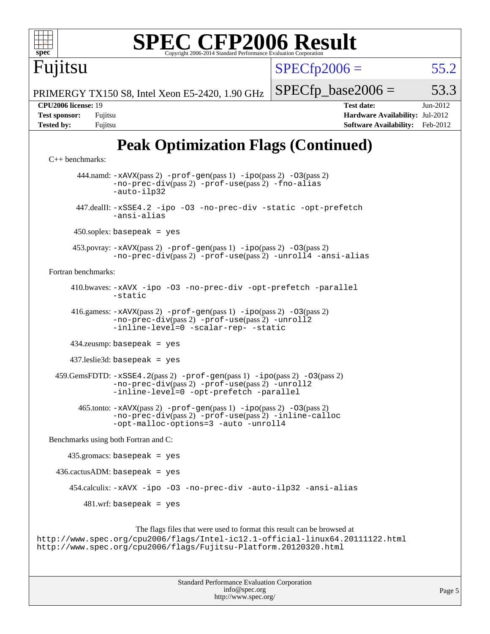# **[SPEC CFP2006 Result](http://www.spec.org/auto/cpu2006/Docs/result-fields.html#SPECCFP2006Result)**

 $SPECTp2006 = 55.2$ 

 $SPECTp\_base2006 = 53.3$ 

PRIMERGY TX150 S8, Intel Xeon E5-2420, 1.90 GHz

**[Tested by:](http://www.spec.org/auto/cpu2006/Docs/result-fields.html#Testedby)** Fujitsu **[Software Availability:](http://www.spec.org/auto/cpu2006/Docs/result-fields.html#SoftwareAvailability)** Feb-2012

## **[Peak Optimization Flags \(Continued\)](http://www.spec.org/auto/cpu2006/Docs/result-fields.html#PeakOptimizationFlags)**

```
C++ benchmarks: 
       444.namd: -xAVX(pass 2) -prof-gen(pass 1) -ipo(pass 2) -O3(pass 2)
               -no-prec-div(pass 2) -prof-use(pass 2) -fno-alias
               -auto-ilp32
       447.dealII: -xSSE4.2 -ipo -O3 -no-prec-div -static -opt-prefetch
               -ansi-alias
      450.soplex: basepeak = yes
      453.povray: -xAVX(pass 2) -prof-gen(pass 1) -ipo(pass 2) -O3(pass 2)
               -no-prec-div(pass 2) -prof-use(pass 2) -unroll4 -ansi-alias
Fortran benchmarks: 
      410.bwaves: -xAVX -ipo -O3 -no-prec-div -opt-prefetch -parallel
               -static
      416.gamess: -xAVX(pass 2) -prof-gen(pass 1) -ipo(pass 2) -O3(pass 2)
               -no-prec-div(pass 2) -prof-use(pass 2) -unroll2
               -inline-level=0-scalar-rep--static
      434.zeusmp: basepeak = yes
      437.leslie3d: basepeak = yes
 -xSSE4.2-prof-gen-ipo-O3(pass 2)-no-prec-div(pass 2) -prof-use(pass 2) -unroll2
               -inline-level=0 -opt-prefetch -parallel
        465.tonto: -xAVX(pass 2) -prof-gen(pass 1) -ipo(pass 2) -O3(pass 2)
               -no-prec-div(pass 2) -prof-use(pass 2) -inline-calloc
               -opt-malloc-options=3 -auto -unroll4
Benchmarks using both Fortran and C: 
     435.gromacs: basepeak = yes
 436.cactusADM:basepeak = yes 454.calculix: -xAVX -ipo -O3 -no-prec-div -auto-ilp32 -ansi-alias
        481.wrf: basepeak = yes
                    The flags files that were used to format this result can be browsed at
```
<http://www.spec.org/cpu2006/flags/Intel-ic12.1-official-linux64.20111122.html> <http://www.spec.org/cpu2006/flags/Fujitsu-Platform.20120320.html>